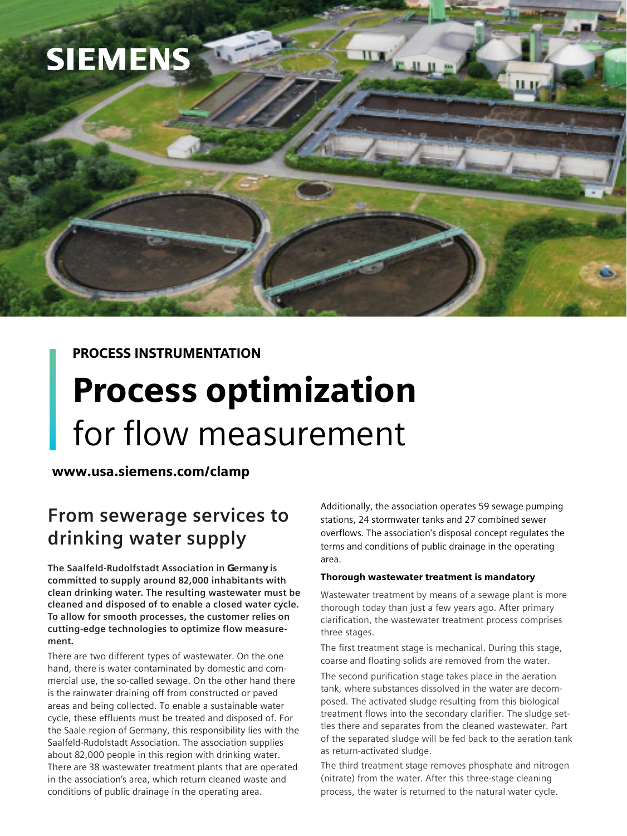

### PROCESS INSTRUMENTATION

# Process optimization for flow measurement

www.usa.siemens.com/clamp

## **From sewerage services to drinking water supply**

**The Saalfeld-Rudolfstadt Association in Germany is committed to supply around 82,000 inhabitants with clean drinking water. The resulting wastewater must be cleaned and disposed of to enable a closed water cycle. To allow for smooth processes, the customer relies on cutting-edge technologies to optimize flow measurement.**

There are two different types of wastewater. On the one hand, there is water contaminated by domestic and commercial use, the so-called sewage. On the other hand there is the rainwater draining off from constructed or paved areas and being collected. To enable a sustainable water cycle, these effluents must be treated and disposed of. For the Saale region of Germany, this responsibility lies with the Saalfeld-Rudolstadt Association. The association supplies about 82,000 people in this region with drinking water. There are 38 wastewater treatment plants that are operated in the association's area, which return cleaned waste and conditions of public drainage in the operating area.

Additionally, the association operates 59 sewage pumping stations, 24 stormwater tanks and 27 combined sewer overflows. The association's disposal concept regulates the terms and conditions of public drainage in the operating area.

#### Thorough wastewater treatment is mandatory

II X

Wastewater treatment by means of a sewage plant is more thorough today than just a few years ago. After primary clarification, the wastewater treatment process comprises three stages.

The first treatment stage is mechanical. During this stage, coarse and floating solids are removed from the water.

The second purification stage takes place in the aeration tank, where substances dissolved in the water are decomposed. The activated sludge resulting from this biological treatment flows into the secondary clarifier. The sludge settles there and separates from the cleaned wastewater. Part of the separated sludge will be fed back to the aeration tank as return-activated sludge.

The third treatment stage removes phosphate and nitrogen (nitrate) from the water. After this three-stage cleaning process, the water is returned to the natural water cycle.